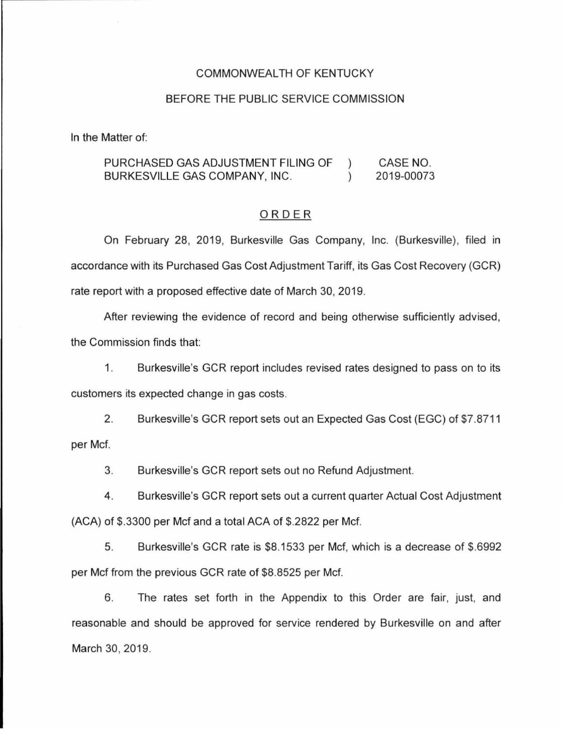### COMMONWEAL TH OF KENTUCKY

#### BEFORE THE PUBLIC SERVICE COMMISSION

In the Matter of:

#### PURCHASED GAS ADJUSTMENT FILING OF CASE NO.  $\left( \right)$ BURKESVILLE GAS COMPANY, INC.  $\lambda$ 2019-00073

#### ORDER

On February 28, 2019, Burkesville Gas Company, Inc. (Burkesville), filed in accordance with its Purchased Gas Cost Adjustment Tariff, its Gas Cost Recovery (GCR) rate report with a proposed effective date of March 30, 2019.

After reviewing the evidence of record and being otherwise sufficiently advised, the Commission finds that:

1. Burkesville's GCR report includes revised rates designed to pass on to its customers its expected change in gas costs.

2. Burkesville's GCR report sets out an Expected Gas Cost (EGC) of \$7.8711 per Mcf.

3. Burkesville's GCR report sets out no Refund Adjustment.

4. Burkesville's GCR report sets out a current quarter Actual Cost Adjustment (ACA) of \$.3300 per Mcf and a total ACA of \$.2822 per Mcf.

5. Burkesville's GCR rate is \$8.1533 per Mcf, which is a decrease of \$.6992 per Mcf from the previous GCR rate of \$8.8525 per Mcf.

6. The rates set forth in the Appendix to this Order are fair, just, and reasonable and should be approved for service rendered by Burkesville on and after March 30, 2019.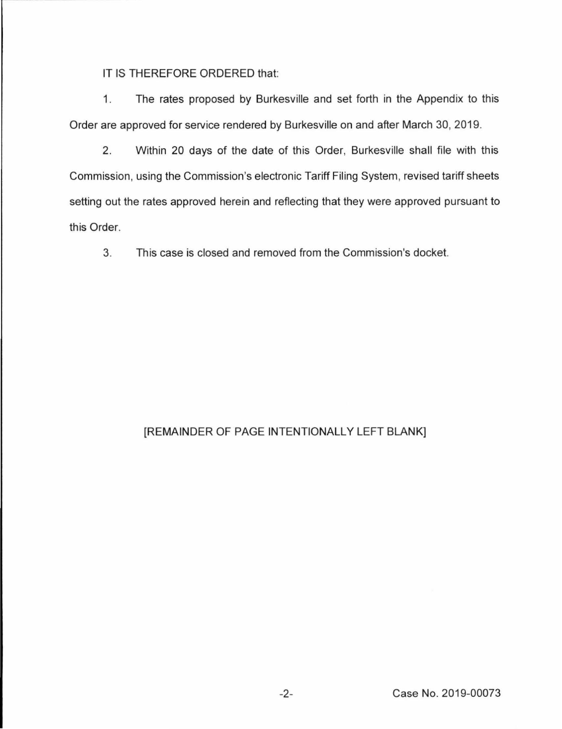IT IS THEREFORE ORDERED that:

1. The rates proposed by Burkesville and set forth in the Appendix to this Order are approved for service rendered by Burkesville on and after March 30, 2019.

2. Within 20 days of the date of this Order, Burkesville shall file with this Commission, using the Commission's electronic Tariff Filing System, revised tariff sheets setting out the rates approved herein and reflecting that they were approved pursuant to this Order.

3. This case is closed and removed from the Commission's docket.

# [REMAINDER OF PAGE INTENTIONALLY LEFT BLANK]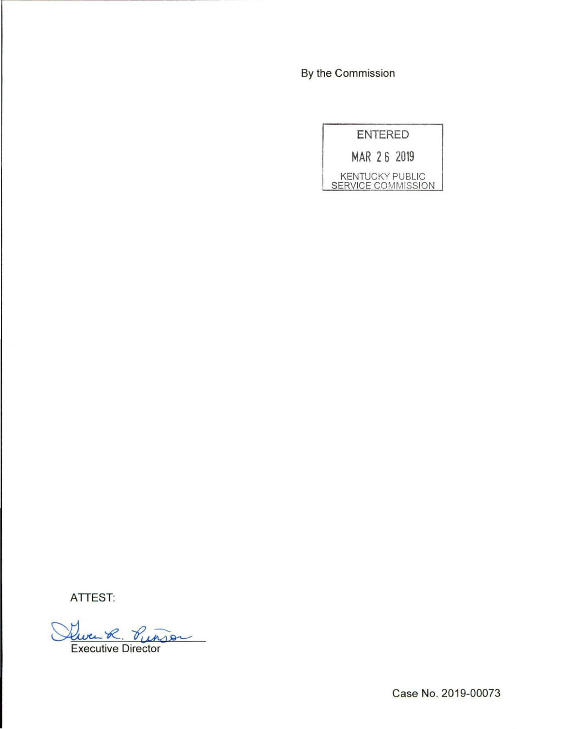By the Commission

| <b>ENTERED</b>         |
|------------------------|
| MAR 26 2019            |
| <b>KENTUCKY PUBLIC</b> |

**ATTEST:** 

Que R. Pun Punser

Case No. 2019-00073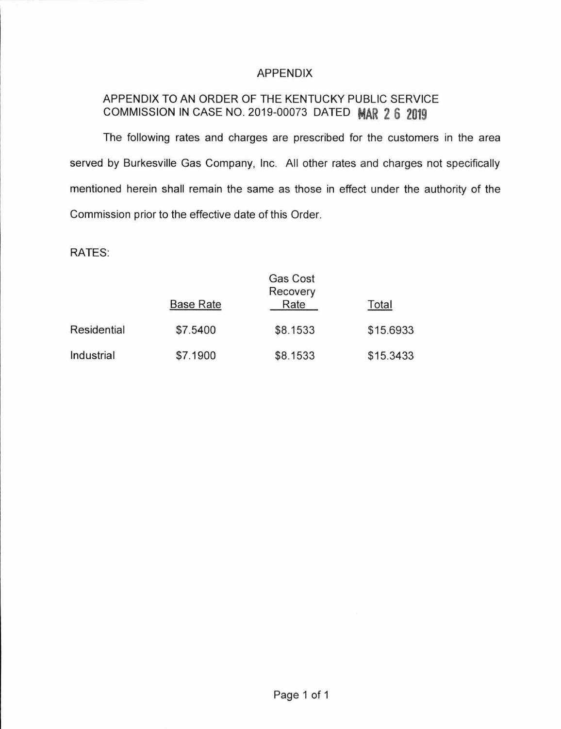## APPENDIX

## APPENDIX TO AN ORDER OF THE KENTUCKY PUBLIC SERVICE COMMISSION IN CASE NO. 2019-00073 DATED **MAR 2 6 2019**

The following rates and charges are prescribed for the customers in the area served by Burkesville Gas Company, Inc. All other rates and charges not specifically mentioned herein shall remain the same as those in effect under the authority of the Commission prior to the effective date of this Order.

RATES:

|             |                  | Gas Cost<br>Recovery |           |
|-------------|------------------|----------------------|-----------|
|             | <b>Base Rate</b> | Rate                 | Total     |
| Residential | \$7.5400         | \$8.1533             | \$15.6933 |
| Industrial  | \$7.1900         | \$8.1533             | \$15.3433 |